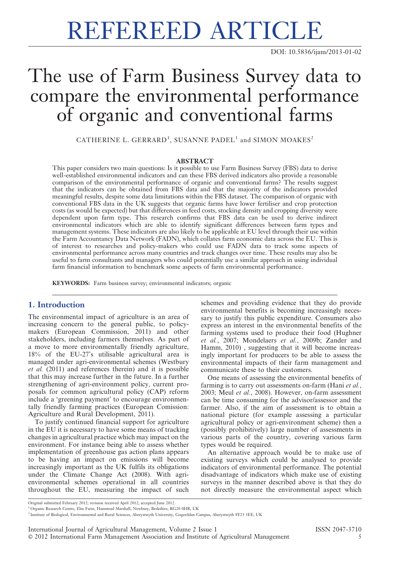# REFEREED ARTICLE

## The use of Farm Business Survey data to compare the environmental performance of organic and conventional farms

CATHERINE L. GERRARD<sup>1</sup>, SUSANNE PADEL<sup>1</sup> and SIMON MOAKES<sup>2</sup>

#### ABSTRACT

This paper considers two main questions: Is it possible to use Farm Business Survey (FBS) data to derive well-established environmental indicators and can these FBS derived indicators also provide a reasonable comparison of the environmental performance of organic and conventional farms? The results suggest that the indicators can be obtained from FBS data and that the majority of the indicators provided meaningful results, despite some data limitations within the FBS dataset. The comparison of organic with conventional FBS data in the UK suggests that organic farms have lower fertiliser and crop protection costs (as would be expected) but that differences in feed costs, stocking density and cropping diversity were dependent upon farm type. This research confirms that FBS data can be used to derive indirect environmental indicators which are able to identify significant differences between farm types and management systems. These indicators are also likely to be applicable at EU level through their use within the Farm Accountancy Data Network (FADN), which collates farm economic data across the EU. This is of interest to researches and policy-makers who could use FADN data to track some aspects of environmental performance across many countries and track changes over time. These results may also be useful to farm consultants and managers who could potentially use a similar approach in using individual farm financial information to benchmark some aspects of farm environmental performance.

KEYWORDS: Farm business survey; environmental indicators; organic

#### 1. Introduction

The environmental impact of agriculture is an area of increasing concern to the general public, to policymakers (European Commission, 2011) and other stakeholders, including farmers themselves. As part of a move to more environmentally friendly agriculture, 18% of the EU-27's utilisable agricultural area is managed under agri-environmental schemes (Westbury et al. (2011) and references therein) and it is possible that this may increase further in the future. In a further strengthening of agri-environment policy, current proposals for common agricultural policy (CAP) reform include a 'greening payment' to encourage environmentally friendly farming practices (European Comission: Agriculture and Rural Development, 2011).

To justify continued financial support for agriculture in the EU it is necessary to have some means of tracking changes in agricultural practice which may impact on the environment. For instance being able to assess whether implementation of greenhouse gas action plans appears to be having an impact on emissions will become increasingly important as the UK fulfils its obligations under the Climate Change Act (2008). With agrienvironmental schemes operational in all countries throughout the EU, measuring the impact of such

schemes and providing evidence that they do provide environmental benefits is becoming increasingly necessary to justify this public expenditure. Consumers also express an interest in the environmental benefits of the farming systems used to produce their food (Hughner et al., 2007; Mondelaers et al., 2009b; Zander and Hamm, 2010) , suggesting that it will become increasingly important for producers to be able to assess the environmental impacts of their farm management and communicate these to their customers.

One means of assessing the environmental benefits of farming is to carry out assessments on-farm (Hani et al., 2003; Meul et al., 2008). However, on-farm assessment can be time consuming for the advisor/assessor and the farmer. Also, if the aim of assessment is to obtain a national picture (for example assessing a particular agricultural policy or agri-environment scheme) then a (possibly prohibitively) large number of assessments in various parts of the country, covering various farm types would be required.

An alternative approach would be to make use of existing surveys which could be analysed to provide indicators of environmental performance. The potential disadvantage of indicators which make use of existing surveys in the manner described above is that they do not directly measure the environmental aspect which

Original submitted February 2012; revision received April 2012; accepted June 2012.

<sup>1</sup> Organic Research Centre, Elm Farm, Hamstead Marshall, Newbury, Berkshire, RG20 0HR, UK

<sup>2</sup> Institute of Biological, Environmental and Rural Sciences, Aberystwyth University, Gogerddan Campus, Aberystwyth SY23 3EE, UK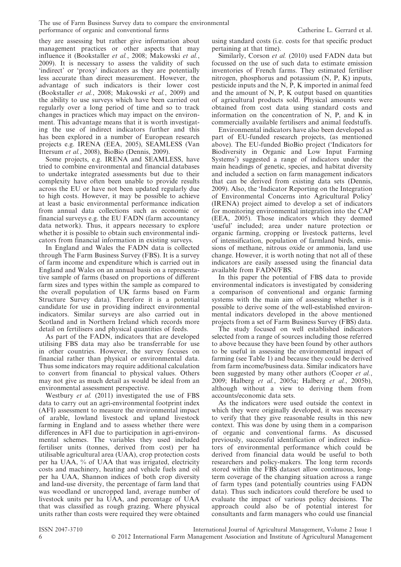they are assessing but rather give information about management practices or other aspects that may influence it (Bookstaller et al., 2008; Makowski et al., 2009). It is necessary to assess the validity of such 'indirect' or 'proxy' indicators as they are potentially less accurate than direct measurement. However, the advantage of such indicators is their lower cost (Bookstaller et al., 2008; Makowski et al., 2009) and the ability to use surveys which have been carried out regularly over a long period of time and so to track changes in practices which may impact on the environment. This advantage means that it is worth investigating the use of indirect indicators further and this has been explored in a number of European research

Ittersum et al., 2008), BioBio (Dennis, 2009). Some projects, e.g. IRENA and SEAMLESS, have tried to combine environmental and financial databases to undertake integrated assessments but due to their complexity have often been unable to provide results across the EU or have not been updated regularly due to high costs. However, it may be possible to achieve at least a basic environmental performance indication from annual data collections such as economic or financial surveys e.g. the EU FADN (farm accountancy data network). Thus, it appears necessary to explore whether it is possible to obtain such environmental indicators from financial information in existing surveys.

projects e.g. IRENA (EEA, 2005), SEAMLESS (Van

In England and Wales the FADN data is collected through The Farm Business Survey (FBS). It is a survey of farm income and expenditure which is carried out in England and Wales on an annual basis on a representative sample of farms (based on proportions of different farm sizes and types within the sample as compared to the overall population of UK farms based on Farm Structure Survey data). Therefore it is a potential candidate for use in providing indirect environmental indicators. Similar surveys are also carried out in Scotland and in Northern Ireland which records more detail on fertilisers and physical quantities of feeds.

As part of the FADN, indicators that are developed utilising FBS data may also be transferrable for use in other countries. However, the survey focuses on financial rather than physical or environmental data. Thus some indicators may require additional calculation to convert from financial to physical values. Others may not give as much detail as would be ideal from an environmental assessment perspective.

Westbury *et al.* (2011) investigated the use of FBS data to carry out an agri-environmental footprint index (AFI) assessment to measure the environmental impact of arable, lowland livestock and upland livestock farming in England and to assess whether there were differences in AFI due to participation in agri-environmental schemes. The variables they used included fertiliser units (tonnes, derived from cost) per ha utilisable agricultural area (UAA), crop protection costs per ha UAA, % of UAA that was irrigated, electricity costs and machinery, heating and vehicle fuels and oil per ha UAA, Shannon indices of both crop diversity and land-use diversity, the percentage of farm land that was woodland or uncropped land, average number of livestock units per ha UAA, and percentage of UAA that was classified as rough grazing. Where physical units rather than costs were required they were obtained using standard costs (i.e. costs for that specific product pertaining at that time).

Similarly, Corson et al. (2010) used FADN data but focussed on the use of such data to estimate emission inventories of French farms. They estimated fertiliser nitrogen, phosphorus and potassium (N, P, K) inputs, pesticide inputs and the N, P, K imported in animal feed and the amount of N, P, K output based on quantities of agricultural products sold. Physical amounts were obtained from cost data using standard costs and information on the concentration of N, P, and K in commercially available fertilisers and animal feedstuffs.

Environmental indicators have also been developed as part of EU-funded research projects, (as mentioned above). The EU-funded BioBio project ('Indicators for Biodiversity in Organic and Low Input Farming Systems') suggested a range of indicators under the main headings of genetic, species, and habitat diversity and included a section on farm management indicators that can be derived from existing data sets (Dennis, 2009). Also, the 'Indicator Reporting on the Integration of Environmental Concerns into Agricultural Policy' (IRENA) project aimed to develop a set of indicators for monitoring environmental integration into the CAP (EEA, 2005). Those indicators which they deemed 'useful' included; area under nature protection or organic farming, cropping or livestock patterns, level of intensification, population of farmland birds, emissions of methane, nitrous oxide or ammonia, land use change. However, it is worth noting that not all of these indicators are easily assessed using the financial data available from FADN/FBS.

In this paper the potential of FBS data to provide environmental indicators is investigated by considering a comparison of conventional and organic farming systems with the main aim of assessing whether is it possible to derive some of the well-established environmental indicators developed in the above mentioned projects from a set of Farm Business Survey (FBS) data.

The study focused on well established indicators selected from a range of sources including those referred to above because they have been found by other authors to be useful in assessing the environmental impact of farming (see Table 1) and because they could be derived from farm income/business data. Similar indicators have been suggested by many other authors (Cooper *et al.*, 2009; Halberg et al., 2005a; Halberg et al., 2005b), although without a view to deriving them from accounts/economic data sets.

As the indicators were used outside the context in which they were originally developed, it was necessary to verify that they give reasonable results in this new context. This was done by using them in a comparison of organic and conventional farms. As discussed previously, successful identification of indirect indicators of environmental performance which could be derived from financial data would be useful to both researchers and policy-makers. The long term records stored within the FBS dataset allow continuous, longterm coverage of the changing situation across a range of farm types (and potentially countries using FADN data). Thus such indicators could therefore be used to evaluate the impact of various policy decisions. The approach could also be of potential interest for consultants and farm managers who could use financial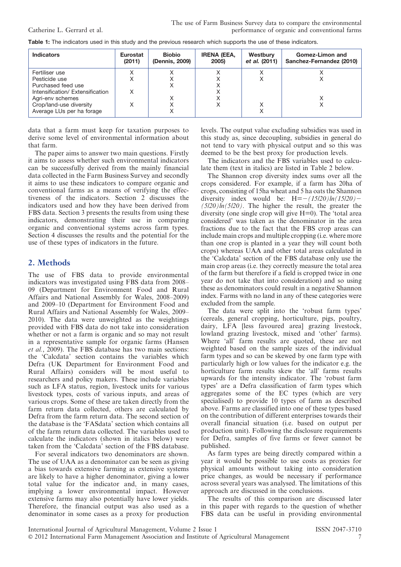Table 1: The indicators used in this study and the previous research which supports the use of these indicators.

| <b>Indicators</b>                | <b>Eurostat</b><br>(2011) | <b>Biobio</b><br>(Dennis, 2009) | <b>IRENA (EEA,</b><br>2005) | Westbury<br>et al. (2011) | Gomez-Limon and<br>Sanchez-Fernandez (2010) |
|----------------------------------|---------------------------|---------------------------------|-----------------------------|---------------------------|---------------------------------------------|
| Fertiliser use                   |                           |                                 |                             |                           |                                             |
| Pesticide use                    |                           |                                 |                             |                           |                                             |
| Purchased feed use               |                           |                                 |                             |                           |                                             |
| Intensification/ Extensification |                           |                                 | ⌒                           |                           |                                             |
| Agri-env schemes                 |                           |                                 | ∧                           |                           |                                             |
| Crop/land-use diversity          |                           |                                 | х                           |                           |                                             |
| Average LUs per ha forage        |                           |                                 |                             |                           |                                             |

data that a farm must keep for taxation purposes to derive some level of environmental information about that farm.

The paper aims to answer two main questions. Firstly it aims to assess whether such environmental indicators can be successfully derived from the mainly financial data collected in the Farm Business Survey and secondly it aims to use these indicators to compare organic and conventional farms as a means of verifying the effectiveness of the indicators. Section 2 discusses the indicators used and how they have been derived from FBS data. Section 3 presents the results from using these indicators, demonstrating their use in comparing organic and conventional systems across farm types. Section 4 discusses the results and the potential for the use of these types of indicators in the future.

#### 2. Methods

The use of FBS data to provide environmental indicators was investigated using FBS data from 2008– 09 (Department for Environment Food and Rural Affairs and National Assembly for Wales, 2008–2009) and 2009–10 (Department for Environment Food and Rural Affairs and National Assembly for Wales, 2009– 2010). The data were unweighted as the weightings provided with FBS data do not take into consideration whether or not a farm is organic and so may not result in a representative sample for organic farms (Hansen et al., 2009). The FBS database has two main sections: the 'Calcdata' section contains the variables which Defra (UK Department for Environment Food and Rural Affairs) considers will be most useful to researchers and policy makers. These include variables such as LFA status, region, livestock units for various livestock types, costs of various inputs, and areas of various crops. Some of these are taken directly from the farm return data collected, others are calculated by Defra from the farm return data. The second section of the database is the 'FASdata' section which contains all of the farm return data collected. The variables used to calculate the indicators (shown in italics below) were taken from the 'Calcdata' section of the FBS database.

For several indicators two denominators are shown. The use of UAA as a denominator can be seen as giving a bias towards extensive farming as extensive systems are likely to have a higher denominator, giving a lower total value for the indicator and, in many cases, implying a lower environmental impact. However extensive farms may also potentially have lower yields. Therefore, the financial output was also used as a denominator in some cases as a proxy for production

levels. The output value excluding subsidies was used in this study as, since decoupling, subsidies in general do not tend to vary with physical output and so this was deemed to be the best proxy for production levels.

The indicators and the FBS variables used to calculate them (text in italics) are listed in Table 2 below.

The Shannon crop diversity index sums over all the crops considered. For example, if a farm has 20ha of crops, consisting of 15ha wheat and 5 ha oats the Shannon diversity index would be:  $H = -(15/20)ln(15/20)$  $(5/20)ln(5/20)$ . The higher the result, the greater the diversity (one single crop will give H=0). The 'total area considered' was taken as the denominator in the area fractions due to the fact that the FBS crop areas can include main crops and multiple cropping (i.e. where more than one crop is planted in a year they will count both crops) whereas UAA and other total areas calculated in the 'Calcdata' section of the FBS database only use the main crop areas (i.e. they correctly measure the total area of the farm but therefore if a field is cropped twice in one year do not take that into consideration) and so using these as denominators could result in a negative Shannon index. Farms with no land in any of these categories were excluded from the sample.

The data were split into the 'robust farm types' (cereals, general cropping, horticulture, pigs, poultry, dairy, LFA [less favoured area] grazing livestock, lowland grazing livestock, mixed and 'other' farms). Where 'all' farm results are quoted, these are not weighted based on the sample sizes of the individual farm types and so can be skewed by one farm type with particularly high or low values for the indicator e.g. the horticulture farm results skew the 'all' farms results upwards for the intensity indicator. The 'robust farm types' are a Defra classification of farm types which aggregates some of the EC types (which are very specialised) to provide 10 types of farm as described above. Farms are classified into one of these types based on the contribution of different enterprises towards their overall financial situation (i.e. based on output per production unit). Following the disclosure requirements for Defra, samples of five farms or fewer cannot be published.

As farm types are being directly compared within a year it would be possible to use costs as proxies for physical amounts without taking into consideration price changes, as would be necessary if performance across several years was analysed. The limitations of this approach are discussed in the conclusions.

The results of this comparison are discussed later in this paper with regards to the question of whether FBS data can be useful in providing environmental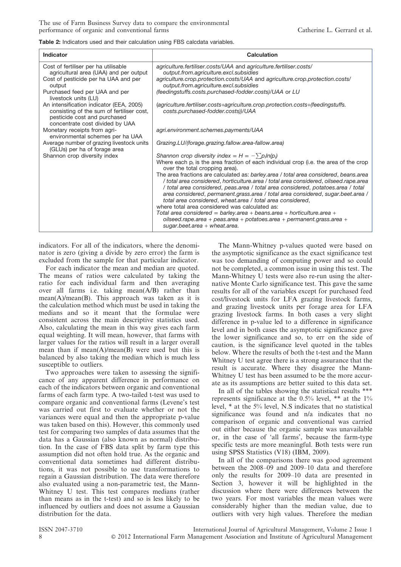The use of Farm Business Survey data to compare the environmental performance of organic and conventional farms Catherine L. Gerrard et al.

Table 2: Indicators used and their calculation using FBS calcdata variables.

| Indicator                                                                                                                                                | <b>Calculation</b>                                                                                                                                                                                                                                                                                                                                                                                                                                                                                                                                                                                                                                           |
|----------------------------------------------------------------------------------------------------------------------------------------------------------|--------------------------------------------------------------------------------------------------------------------------------------------------------------------------------------------------------------------------------------------------------------------------------------------------------------------------------------------------------------------------------------------------------------------------------------------------------------------------------------------------------------------------------------------------------------------------------------------------------------------------------------------------------------|
| Cost of fertiliser per ha utilisable                                                                                                                     | agriculture.fertiliser.costs/UAA and agriculture.fertiliser.costs/                                                                                                                                                                                                                                                                                                                                                                                                                                                                                                                                                                                           |
| agricultural area (UAA) and per output<br>Cost of pesticide per ha UAA and per                                                                           | output.from.agriculture.excl.subsidies<br>agriculture.crop.protection.costs/UAA and agriculture.crop.protection.costs/                                                                                                                                                                                                                                                                                                                                                                                                                                                                                                                                       |
| output                                                                                                                                                   | output.from.agriculture.excl.subsidies                                                                                                                                                                                                                                                                                                                                                                                                                                                                                                                                                                                                                       |
| Purchased feed per UAA and per<br>livestock units (LU)                                                                                                   | (feedingstuffs.costs.purchased-fodder.costs)/UAA or LU                                                                                                                                                                                                                                                                                                                                                                                                                                                                                                                                                                                                       |
| An intensification indicator (EEA, 2005)<br>consisting of the sum of fertiliser cost,<br>pesticide cost and purchased<br>concentrate cost divided by UAA | (agriculture.fertiliser.costs+agriculture.crop.protection.costs+(feedingstuffs.<br>costs.purchased-fodder.costs))/UAA                                                                                                                                                                                                                                                                                                                                                                                                                                                                                                                                        |
| Monetary receipts from agri-<br>environmental schemes per ha UAA                                                                                         | agri.environment.schemes.payments/UAA                                                                                                                                                                                                                                                                                                                                                                                                                                                                                                                                                                                                                        |
| Average number of grazing livestock units<br>(GLUs) per ha of forage area                                                                                | Grazing.LU/(forage.grazing.fallow.area-fallow.area)                                                                                                                                                                                                                                                                                                                                                                                                                                                                                                                                                                                                          |
| Shannon crop diversity index                                                                                                                             | Shannon crop diversity index = $H = -\sum p_i ln(p_i)$                                                                                                                                                                                                                                                                                                                                                                                                                                                                                                                                                                                                       |
|                                                                                                                                                          | Where each $p_i$ is the area fraction of each individual crop (i.e. the area of the crop<br>over the total cropping area).                                                                                                                                                                                                                                                                                                                                                                                                                                                                                                                                   |
|                                                                                                                                                          | The area fractions are calculated as: barley.area / total area considered, beans.area<br>/ total area considered, horticulture.area / total area considered, oilseed.rape.area<br>/ total area considered, peas.area / total area considered, potatoes.area / total<br>area considered, permanent.grass.area / total area considered, sugar.beet.area /<br>total area considered, wheat area / total area considered,<br>where total area considered was calculated as:<br>Total area considered = barley.area + beans.area + horticulture.area +<br>oilseed.rape.area + peas.area + potatoes.area + permanent.grass.area +<br>sugar.beet.area + wheat.area. |

indicators. For all of the indicators, where the denominator is zero (giving a divide by zero error) the farm is excluded from the sample for that particular indicator.

For each indicator the mean and median are quoted. The means of ratios were calculated by taking the ratio for each individual farm and then averaging over all farms i.e. taking mean(A/B) rather than  $mean(A)/mean(B)$ . This approach was taken as it is the calculation method which must be used in taking the medians and so it meant that the formulae were consistent across the main descriptive statistics used. Also, calculating the mean in this way gives each farm equal weighting. It will mean, however, that farms with larger values for the ratios will result in a larger overall mean than if mean $(A)/$ mean $(B)$  were used but this is balanced by also taking the median which is much less susceptible to outliers.

Two approaches were taken to assessing the significance of any apparent difference in performance on each of the indicators between organic and conventional farms of each farm type. A two-tailed t-test was used to compare organic and conventional farms (Levene's test was carried out first to evaluate whether or not the variances were equal and then the appropriate p-value was taken based on this). However, this commonly used test for comparing two samples of data assumes that the data has a Gaussian (also known as normal) distribution. In the case of FBS data split by farm type this assumption did not often hold true. As the organic and conventional data sometimes had different distributions, it was not possible to use transformations to regain a Gaussian distribution. The data were therefore also evaluated using a non-parametric test, the Mann-Whitney U test. This test compares medians (rather than means as in the t-test) and so is less likely to be influenced by outliers and does not assume a Gaussian distribution for the data.

The Mann-Whitney p-values quoted were based on the asymptotic significance as the exact significance test was too demanding of computing power and so could not be completed, a common issue in using this test. The Mann-Whitney U tests were also re-run using the alternative Monte Carlo significance test. This gave the same results for all of the variables except for purchased feed cost/livestock units for LFA grazing livestock farms, and grazing livestock units per forage area for LFA grazing livestock farms. In both cases a very slight difference in p-value led to a difference in significance level and in both cases the asymptotic significance gave the lower significance and so, to err on the side of caution, is the significance level quoted in the tables below. Where the results of both the t-test and the Mann Whitney U test agree there is a strong assurance that the result is accurate. Where they disagree the Mann-Whitney U test has been assumed to be the more accurate as its assumptions are better suited to this data set.

In all of the tables showing the statistical results \*\*\* represents significance at the  $0.5\%$  level, \*\* at the  $1\%$ level, \* at the 5% level, N.S indicates that no statistical significance was found and n/a indicates that no comparison of organic and conventional was carried out either because the organic sample was unavailable or, in the case of 'all farms', because the farm-type specific tests are more meaningful. Both tests were run using SPSS Statistics (V18) (IBM, 2009).

In all of the comparisons there was good agreement between the 2008–09 and 2009–10 data and therefore only the results for 2009–10 data are presented in Section 3, however it will be highlighted in the discussion where there were differences between the two years. For most variables the mean values were considerably higher than the median value, due to outliers with very high values. Therefore the median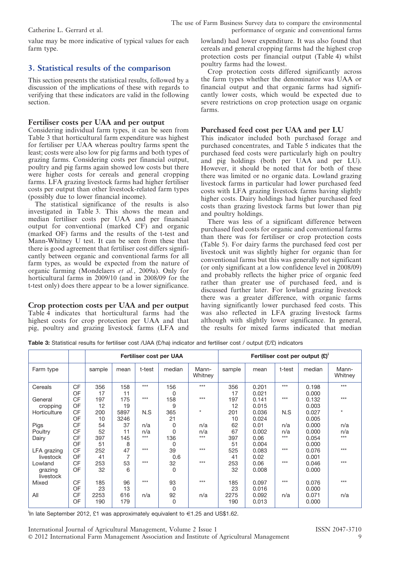value may be more indicative of typical values for each farm type.

#### 3. Statistical results of the comparison

This section presents the statistical results, followed by a discussion of the implications of these with regards to verifying that these indicators are valid in the following section.

#### Fertiliser costs per UAA and per output

Considering individual farm types, it can be seen from Table 3 that horticultural farm expenditure was highest for fertiliser per UAA whereas poultry farms spent the least; costs were also low for pig farms and both types of grazing farms. Considering costs per financial output, poultry and pig farms again showed low costs but there were higher costs for cereals and general cropping farms. LFA grazing livestock farms had higher fertiliser costs per output than other livestock-related farm types (possibly due to lower financial income).

The statistical significance of the results is also investigated in Table 3. This shows the mean and median fertiliser costs per UAA and per financial output for conventional (marked CF) and organic (marked OF) farms and the results of the t-test and Mann-Whitney U test. It can be seen from these that there is good agreement that fertiliser cost differs significantly between organic and conventional farms for all farm types, as would be expected from the nature of organic farming (Mondelaers et al., 2009a). Only for horticultural farms in 2009/10 (and in 2008/09 for the t-test only) does there appear to be a lower significance.

Crop protection costs per UAA and per output Table 4 indicates that horticultural farms had the highest costs for crop protection per UAA and that pig, poultry and grazing livestock farms (LFA and lowland) had lower expenditure. It was also found that cereals and general cropping farms had the highest crop protection costs per financial output (Table 4) whilst poultry farms had the lowest.

Crop protection costs differed significantly across the farm types whether the denominator was UAA or financial output and that organic farms had significantly lower costs, which would be expected due to severe restrictions on crop protection usage on organic farms.

#### Purchased feed cost per UAA and per LU

This indicator included both purchased forage and purchased concentrates, and Table 5 indicates that the purchased feed costs were particularly high on poultry and pig holdings (both per UAA and per LU). However, it should be noted that for both of these there was limited or no organic data. Lowland grazing livestock farms in particular had lower purchased feed costs with LFA grazing livestock farms having slightly higher costs. Dairy holdings had higher purchased feed costs than grazing livestock farms but lower than pig and poultry holdings.

There was less of a significant difference between purchased feed costs for organic and conventional farms than there was for fertiliser or crop protection costs (Table 5). For dairy farms the purchased feed cost per livestock unit was slightly higher for organic than for conventional farms but this was generally not significant (or only significant at a low confidence level in 2008/09) and probably reflects the higher price of organic feed rather than greater use of purchased feed, and is discussed further later. For lowland grazing livestock there was a greater difference, with organic farms having significantly lower purchased feed costs. This was also reflected in LFA grazing livestock farms although with slightly lower significance. In general, the results for mixed farms indicated that median

Table 3: Statistical results for fertiliser cost /UAA (£/ha) indicator and fertiliser cost / output (£/£) indicators

|                      |           |        |                |        | Fertiliser cost per UAA |                  | Fertiliser cost per output (£)' |       |        |        |                  |
|----------------------|-----------|--------|----------------|--------|-------------------------|------------------|---------------------------------|-------|--------|--------|------------------|
| Farm type            |           | sample | mean           | t-test | median                  | Mann-<br>Whitney | sample                          | mean  | t-test | median | Mann-<br>Whitney |
| Cereals              | <b>CF</b> | 356    | 158            | $***$  | 156                     | $***$            | 356                             | 0.201 | $***$  | 0.198  | $***$            |
|                      | OF        | 17     | 11             |        | 0                       |                  | 17                              | 0.021 |        | 0.000  |                  |
| General              | <b>CF</b> | 197    | 175            | $***$  | 158                     | $***$            | 197                             | 0.141 | $***$  | 0.132  | $***$            |
| cropping             | OF        | 12     | 19             |        | 9                       |                  | 12                              | 0.015 |        | 0.003  |                  |
| Horticulture         | <b>CF</b> | 200    | 5897           | N.S    | 365                     | $\star$          | 201                             | 0.036 | N.S    | 0.027  | $\star$          |
|                      | OF        | 10     | 3246           |        | 21                      |                  | 10                              | 0.024 |        | 0.005  |                  |
| Pigs                 | <b>CF</b> | 54     | 37             | n/a    | 0                       | n/a              | 62                              | 0.01  | n/a    | 0.000  | n/a              |
| Poultry              | CF        | 52     | 11             | n/a    | 0                       | n/a              | 67                              | 0.002 | n/a    | 0.000  | n/a              |
| Dairy                | СF        | 397    | 145            | $***$  | 136                     | $***$            | 397                             | 0.06  | $***$  | 0.054  | $***$            |
|                      | OF        | 51     | 8              |        | 0                       |                  | 51                              | 0.004 |        | 0.000  |                  |
| LFA grazing          | CF        | 252    | 47             | $***$  | 39                      | ***              | 525                             | 0.083 | ***    | 0.076  | $***$            |
| livestock            | OF        | 41     | $\overline{7}$ |        | 0.6                     |                  | 41                              | 0.02  |        | 0.001  |                  |
| Lowland              | <b>CF</b> | 253    | 53             | $***$  | 32                      | ***              | 253                             | 0.06  | $***$  | 0.046  | $***$            |
| grazing<br>livestock | OF        | 32     | 6              |        | 0                       |                  | 32                              | 0.008 |        | 0.000  |                  |
| Mixed                | <b>CF</b> | 185    | 96             | $***$  | 93                      | ***              | 185                             | 0.097 | $***$  | 0.076  | $***$            |
|                      | OF        | 23     | 13             |        | 0                       |                  | 23                              | 0.016 |        | 0.000  |                  |
| All                  | CF        | 2253   | 616            | n/a    | 92                      | n/a              | 2275                            | 0.092 | n/a    | 0.071  | n/a              |
|                      | OF        | 190    | 179            |        | 0                       |                  | 190                             | 0.013 |        | 0.000  |                  |

In late September 2012, £1 was approximately equivalent to  $\in$ 1.25 and US\$1.62.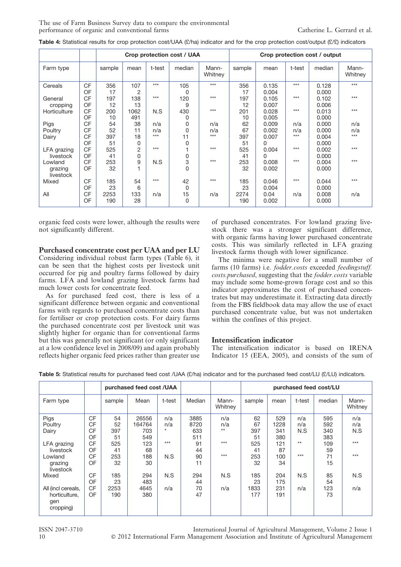The use of Farm Business Survey data to compare the environmental performance of organic and conventional farms Catherine L. Gerrard et al.

|  |  | Table 4: Statistical results for crop protection cost/UAA (£/ha) indicator and for the crop protection cost/output (£/£) indicators |
|--|--|-------------------------------------------------------------------------------------------------------------------------------------|
|--|--|-------------------------------------------------------------------------------------------------------------------------------------|

|                      |           |        |      |        | Crop protection cost / UAA |                  | Crop protection cost / output |       |        |        |                  |
|----------------------|-----------|--------|------|--------|----------------------------|------------------|-------------------------------|-------|--------|--------|------------------|
| Farm type            |           | sample | mean | t-test | median                     | Mann-<br>Whitney | sample                        | mean  | t-test | median | Mann-<br>Whitney |
| Cereals              | <b>CF</b> | 356    | 107  | $***$  | 105                        | $***$            | 356                           | 0.135 | $***$  | 0.128  | $***$            |
|                      | OF        | 17     | 2    |        | 0                          |                  | 17                            | 0.004 |        | 0.000  |                  |
| General              | <b>CF</b> | 197    | 138  | $***$  | 120                        | $***$            | 197                           | 0.105 | $***$  | 0.102  | $***$            |
| cropping             | OF        | 12     | 13   |        | 9                          |                  | 12                            | 0.007 |        | 0.006  |                  |
| Horticulture         | <b>CF</b> | 200    | 1062 | N.S    | 430                        | $***$            | 201                           | 0.028 | $***$  | 0.013  | $***$            |
|                      | OF        | 10     | 491  |        | 0                          |                  | 10                            | 0.005 |        | 0.000  |                  |
| Pigs                 | <b>CF</b> | 54     | 38   | n/a    | 0                          | n/a              | 62                            | 0.009 | n/a    | 0.000  | n/a              |
| Poultry              | <b>CF</b> | 52     | 11   | n/a    | 0                          | n/a              | 67                            | 0.002 | n/a    | 0.000  | n/a              |
| Dairy                | CF        | 397    | 18   | $***$  | 11                         | $***$            | 397                           | 0.007 | ***    | 0.004  | ***              |
|                      | OF        | 51     | 0    |        | 0                          |                  | 51                            | 0     |        | 0.000  |                  |
| LFA grazing          | <b>CF</b> | 525    | 2    | $***$  |                            | $***$            | 525                           | 0.004 | $***$  | 0.002  | $***$            |
| livestock            | OF        | 41     | 0    |        | 0                          |                  | 41                            | 0     |        | 0.000  |                  |
| Lowland              | <b>CF</b> | 253    | 9    | N.S    | 3                          | $***$            | 253                           | 0.008 | $***$  | 0.004  | $***$            |
| grazing<br>livestock | OF        | 32     | ٠    |        | 0                          |                  | 32                            | 0.002 |        | 0.000  |                  |
| Mixed                | <b>CF</b> | 185    | 54   | ***    | 42                         | $***$            | 185                           | 0.046 | $***$  | 0.044  | $***$            |
|                      | OF        | 23     | 6    |        | 0                          |                  | 23                            | 0.004 |        | 0.000  |                  |
| All                  | CF        | 2253   | 133  | n/a    | 15                         | n/a              | 2274                          | 0.04  | n/a    | 0.008  | n/a              |
|                      | OF        | 190    | 28   |        | 0                          |                  | 190                           | 0.002 |        | 0.000  |                  |

organic feed costs were lower, although the results were not significantly different.

Purchased concentrate cost per UAA and per LU

Considering individual robust farm types (Table 6), it can be seen that the highest costs per livestock unit occurred for pig and poultry farms followed by dairy farms. LFA and lowland grazing livestock farms had much lower costs for concentrate feed.

As for purchased feed cost, there is less of a significant difference between organic and conventional farms with regards to purchased concentrate costs than for fertiliser or crop protection costs. For dairy farms the purchased concentrate cost per livestock unit was slightly higher for organic than for conventional farms but this was generally not significant (or only significant at a low confidence level in 2008/09) and again probably reflects higher organic feed prices rather than greater use

of purchased concentrates. For lowland grazing livestock there was a stronger significant difference, with organic farms having lower purchased concentrate costs. This was similarly reflected in LFA grazing livestock farms though with lower significance.

The minima were negative for a small number of farms (10 farms) i.e. fodder.costs exceeded feedingstuff. costs.purchased, suggesting that the fodder.costs variable may include some home-grown forage cost and so this indicator approximates the cost of purchased concentrates but may underestimate it. Extracting data directly from the FBS fieldbook data may allow the use of exact purchased concentrate value, but was not undertaken within the confines of this project.

#### Intensification indicator

The intensification indicator is based on IRENA Indicator 15 (EEA, 2005), and consists of the sum of

|                                                                                                                                         |                                                                                                                       |                                                                             | purchased feed cost /UAA                                                             |                                                     |                                                                             |                                                    | purchased feed cost/LU                                                      |                                                                                 |                                                   |                                                                            |                                                   |
|-----------------------------------------------------------------------------------------------------------------------------------------|-----------------------------------------------------------------------------------------------------------------------|-----------------------------------------------------------------------------|--------------------------------------------------------------------------------------|-----------------------------------------------------|-----------------------------------------------------------------------------|----------------------------------------------------|-----------------------------------------------------------------------------|---------------------------------------------------------------------------------|---------------------------------------------------|----------------------------------------------------------------------------|---------------------------------------------------|
| Farm type                                                                                                                               |                                                                                                                       | sample                                                                      | Mean                                                                                 | t-test                                              | Median                                                                      | Mann-<br>Whitney                                   | sample                                                                      | mean                                                                            | t-test                                            | median                                                                     | Mann-<br>Whitney                                  |
| Pigs<br>Poultry<br>Dairy<br>LFA grazing<br>livestock<br>Lowland<br>grazing<br>livestock<br>Mixed<br>All (incl cereals,<br>horticulture. | <b>CF</b><br><b>CF</b><br><b>CF</b><br>OF<br><b>CF</b><br>OF<br><b>CF</b><br>OF<br><b>CF</b><br>OF<br><b>CF</b><br>OF | 54<br>52<br>397<br>51<br>525<br>41<br>253<br>32<br>185<br>23<br>2253<br>190 | 26556<br>164764<br>703<br>549<br>123<br>68<br>188<br>30<br>294<br>483<br>4645<br>380 | n/a<br>n/a<br>$\star$<br>$***$<br>N.S<br>N.S<br>n/a | 3885<br>8720<br>633<br>511<br>91<br>44<br>90<br>11<br>294<br>44<br>70<br>47 | n/a<br>n/a<br>$**$<br>$***$<br>$***$<br>N.S<br>n/a | 62<br>67<br>397<br>51<br>525<br>41<br>253<br>32<br>185<br>23<br>1833<br>177 | 529<br>1228<br>341<br>380<br>121<br>87<br>100<br>34<br>204<br>175<br>231<br>191 | n/a<br>n/a<br>N.S<br>$***$<br>$***$<br>N.S<br>n/a | 595<br>592<br>340<br>383<br>109<br>59<br>71<br>15<br>85<br>54<br>123<br>73 | n/a<br>n/a<br>N.S<br>$***$<br>$***$<br>N.S<br>n/a |
| gen<br>cropping)                                                                                                                        |                                                                                                                       |                                                                             |                                                                                      |                                                     |                                                                             |                                                    |                                                                             |                                                                                 |                                                   |                                                                            |                                                   |

Table 5: Statistical results for purchased feed cost /UAA (£/ha) indicator and for the purchased feed cost/LU (£/LU) indicators.

ISSN 2047-3710 International Journal of Agricultural Management, Volume 2 Issue 1 10 ' 2012 International Farm Management Association and Institute of Agricultural Management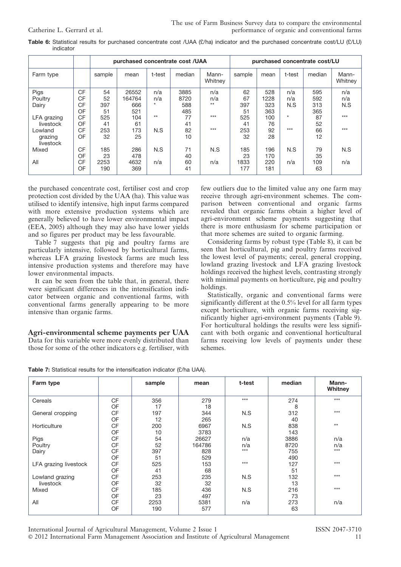|             |           |        |        |         | purchased concentrate cost /UAA |                  | purchased concentrate cost/LU |      |         |        |                  |
|-------------|-----------|--------|--------|---------|---------------------------------|------------------|-------------------------------|------|---------|--------|------------------|
| Farm type   |           | sample | mean   | t-test  | median                          | Mann-<br>Whitney | sample                        | mean | t-test  | median | Mann-<br>Whitney |
| Pigs        | <b>CF</b> | 54     | 26552  | n/a     | 3885                            | n/a              | 62                            | 528  | n/a     | 595    | n/a              |
| Poultry     | <b>CF</b> | 52     | 164764 | n/a     | 8720                            | n/a              | 67                            | 1228 | n/a     | 592    | n/a              |
| Dairy       | <b>CF</b> | 397    | 666    | $\star$ | 588                             | $**$             | 397                           | 323  | N.S     | 313    | N.S              |
|             | OF        | 51     | 521    |         | 485                             |                  | 51                            | 363  |         | 365    |                  |
| LFA grazing | <b>CF</b> | 525    | 104    | $***$   | 77                              | $***$            | 525                           | 100  | $\star$ | 87     | $***$            |
| livestock   | OF        | 41     | 61     |         | 41                              |                  | 41                            | 76   |         | 52     |                  |
| Lowland     | <b>CF</b> | 253    | 173    | N.S     | 82                              | $***$            | 253                           | 92   | $***$   | 66     | $***$            |
| grazing     | OF        | 32     | 25     |         | 10                              |                  | 32                            | 28   |         | 12     |                  |
| livestock   |           |        |        |         |                                 |                  |                               |      |         |        |                  |
| Mixed       | <b>CF</b> | 185    | 286    | N.S     | 71                              | N.S              | 185                           | 196  | N.S     | 79     | N.S              |
|             | OF        | 23     | 478    |         | 40                              |                  | 23                            | 170  |         | 35     |                  |
| All         | <b>CF</b> | 2253   | 4632   | n/a     | 60                              | n/a              | 1833                          | 220  | n/a     | 109    | n/a              |
|             | OF        | 190    | 369    |         | 41                              |                  | 177                           | 181  |         | 63     |                  |

Table 6: Statistical results for purchased concentrate cost /UAA (£/ha) indicator and the purchased concentrate cost/LU (£/LU) indicator

the purchased concentrate cost, fertiliser cost and crop protection cost divided by the UAA (ha). This value was utilised to identify intensive, high input farms compared with more extensive production systems which are generally believed to have lower environmental impact (EEA, 2005) although they may also have lower yields and so figures per product may be less favourable.

Table 7 suggests that pig and poultry farms are particularly intensive, followed by horticultural farms, whereas LFA grazing livestock farms are much less intensive production systems and therefore may have lower environmental impacts.

It can be seen from the table that, in general, there were significant differences in the intensification indicator between organic and conventional farms, with conventional farms generally appearing to be more intensive than organic farms.

Agri-environmental scheme payments per UAA Data for this variable were more evenly distributed than those for some of the other indicators e.g. fertiliser, with few outliers due to the limited value any one farm may receive through agri-environment schemes. The comparison between conventional and organic farms revealed that organic farms obtain a higher level of agri-environment scheme payments suggesting that there is more enthusiasm for scheme participation or that more schemes are suited to organic farming.

Considering farms by robust type (Table 8), it can be seen that horticultural, pig and poultry farms received the lowest level of payments; cereal, general cropping, lowland grazing livestock and LFA grazing livestock holdings received the highest levels, contrasting strongly with minimal payments on horticulture, pig and poultry holdings.

Statistically, organic and conventional farms were significantly different at the 0.5% level for all farm types except horticulture, with organic farms receiving significantly higher agri-environment payments (Table 9). For horticultural holdings the results were less significant with both organic and conventional horticultural farms receiving low levels of payments under these schemes.

| Farm type             |           | sample | mean   | t-test | median | Mann-<br>Whitney |
|-----------------------|-----------|--------|--------|--------|--------|------------------|
| Cereals               | CF        | 356    | 279    | $***$  | 274    | $***$            |
|                       | OF        | 17     | 18     |        | 8      |                  |
| General cropping      | <b>CF</b> | 197    | 344    | N.S    | 312    | $***$            |
|                       | OF        | 12     | 265    |        | 40     |                  |
| Horticulture          | CF        | 200    | 6967   | N.S    | 838    | $**$             |
|                       | OF        | 10     | 3783   |        | 143    |                  |
| Pigs                  | CF        | 54     | 26627  | n/a    | 3886   | n/a              |
| Poultry               | CF        | 52     | 164786 | n/a    | 8720   | n/a              |
| Dairy                 | CF        | 397    | 828    | $***$  | 755    | $***$            |
|                       | OF        | 51     | 529    |        | 490    |                  |
| LFA grazing livestock | CF        | 525    | 153    | $***$  | 127    | $***$            |
|                       | OF        | 41     | 68     |        | 51     |                  |
| Lowland grazing       | CF        | 253    | 235    | N.S    | 132    | $***$            |
| livestock             | OF        | 32     | 32     |        | 13     |                  |
| Mixed                 | <b>CF</b> | 185    | 436    | N.S    | 216    | $***$            |
|                       | OF        | 23     | 497    |        | 73     |                  |
| All                   | CF        | 2253   | 5381   | n/a    | 273    | n/a              |
|                       | OF        | 190    | 577    |        | 63     |                  |

Table 7: Statistical results for the intensification indicator (£/ha UAA).

International Journal of Agricultural Management, Volume 2 Issue 1 ISSN 2047-3710 ' 2012 International Farm Management Association and Institute of Agricultural Management 11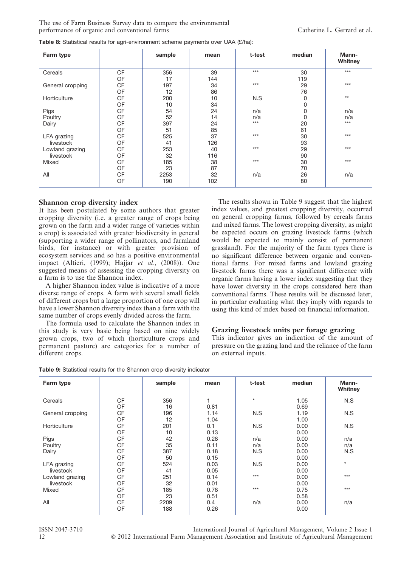The use of Farm Business Survey data to compare the environmental performance of organic and conventional farms Catherine L. Gerrard et al.

| Farm type        |           | sample | mean | t-test | median | Mann-<br>Whitney |
|------------------|-----------|--------|------|--------|--------|------------------|
| Cereals          | <b>CF</b> | 356    | 39   | $***$  | 30     | $***$            |
|                  | OF        | 17     | 144  |        | 119    |                  |
| General cropping | <b>CF</b> | 197    | 34   | $***$  | 29     | $***$            |
|                  | OF        | 12     | 86   |        | 76     |                  |
| Horticulture     | <b>CF</b> | 200    | 10   | N.S    | 0      | $**$             |
|                  | OF        | 10     | 34   |        | 0      |                  |
| Pigs             | <b>CF</b> | 54     | 24   | n/a    | 0      | n/a              |
| Poultry          | <b>CF</b> | 52     | 14   | n/a    | 0      | n/a              |
| Dairy            | <b>CF</b> | 397    | 24   | $***$  | 20     | $***$            |
|                  | OF        | 51     | 85   |        | 61     |                  |
| LFA grazing      | <b>CF</b> | 525    | 37   | $***$  | 30     | $***$            |
| livestock        | OF        | 41     | 126  |        | 93     |                  |
| Lowland grazing  | <b>CF</b> | 253    | 40   | $***$  | 29     | $***$            |
| livestock        | OF        | 32     | 116  |        | 90     |                  |
| Mixed            | <b>CF</b> | 185    | 38   | $***$  | 30     | $***$            |
|                  | OF        | 23     | 87   |        | 70     |                  |
| All              | <b>CF</b> | 2253   | 32   | n/a    | 26     | n/a              |
|                  | OF        | 190    | 102  |        | 80     |                  |

Table 8: Statistical results for agri-environment scheme payments over UAA (£/ha):

#### Shannon crop diversity index

It has been postulated by some authors that greater cropping diversity (i.e. a greater range of crops being grown on the farm and a wider range of varieties within a crop) is associated with greater biodiversity in general (supporting a wider range of pollinators, and farmland birds, for instance) or with greater provision of ecosystem services and so has a positive environmental impact (Altieri, (1999); Hajjar et al., (2008)). One suggested means of assessing the cropping diversity on a farm is to use the Shannon index.

A higher Shannon index value is indicative of a more diverse range of crops. A farm with several small fields of different crops but a large proportion of one crop will have a lower Shannon diversity index than a farm with the same number of crops evenly divided across the farm.

The formula used to calculate the Shannon index in this study is very basic being based on nine widely grown crops, two of which (horticulture crops and permanent pasture) are categories for a number of different crops.

The results shown in Table 9 suggest that the highest index values, and greatest cropping diversity, occurred on general cropping farms, followed by cereals farms and mixed farms. The lowest cropping diversity, as might be expected occurs on grazing livestock farms (which would be expected to mainly consist of permanent grassland). For the majority of the farm types there is no significant difference between organic and conventional farms. For mixed farms and lowland grazing livestock farms there was a significant difference with organic farms having a lower index suggesting that they have lower diversity in the crops considered here than conventional farms. These results will be discussed later, in particular evaluating what they imply with regards to using this kind of index based on financial information.

#### Grazing livestock units per forage grazing

This indicator gives an indication of the amount of pressure on the grazing land and the reliance of the farm on external inputs.

| Table 9: Statistical results for the Shannon crop diversity indicator |  |  |  |
|-----------------------------------------------------------------------|--|--|--|

| Farm type        |           | sample | mean | t-test  | median | Mann-<br>Whitney |
|------------------|-----------|--------|------|---------|--------|------------------|
| Cereals          | <b>CF</b> | 356    |      | $\star$ | 1.05   | N.S              |
|                  | OF        | 16     | 0.81 |         | 0.69   |                  |
| General cropping | CF        | 196    | 1.14 | N.S     | 1.19   | N.S              |
|                  | OF        | 12     | 1.04 |         | 1.00   |                  |
| Horticulture     | CF        | 201    | 0.1  | N.S     | 0.00   | N.S              |
|                  | OF        | 10     | 0.13 |         | 0.00   |                  |
| Pigs             | <b>CF</b> | 42     | 0.28 | n/a     | 0.00   | n/a              |
| Poultry          | <b>CF</b> | 35     | 0.11 | n/a     | 0.00   | n/a              |
| Dairy            | <b>CF</b> | 387    | 0.18 | N.S     | 0.00   | N.S              |
|                  | OF        | 50     | 0.15 |         | 0.00   |                  |
| LFA grazing      | <b>CF</b> | 524    | 0.03 | N.S     | 0.00   | $\star$          |
| livestock        | OF        | 41     | 0.05 |         | 0.00   |                  |
| Lowland grazing  | <b>CF</b> | 251    | 0.14 | $***$   | 0.00   | $***$            |
| livestock        | OF        | 32     | 0.01 |         | 0.00   |                  |
| Mixed            | <b>CF</b> | 185    | 0.78 | $***$   | 0.75   | $***$            |
|                  | OF        | 23     | 0.51 |         | 0.58   |                  |
| All              | <b>CF</b> | 2209   | 0.4  | n/a     | 0.00   | n/a              |
|                  | OF        | 188    | 0.26 |         | 0.00   |                  |

ISSN 2047-3710 International Journal of Agricultural Management, Volume 2 Issue 1 12 **C** 2012 International Farm Management Association and Institute of Agricultural Management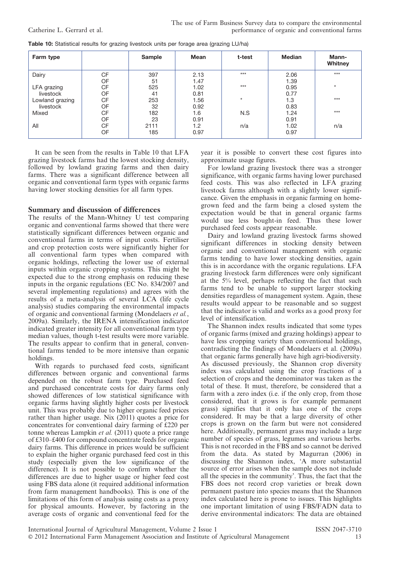| Farm type       |           | Sample | <b>Mean</b> | t-test  | <b>Median</b> | <b>Mann-</b><br>Whitney |
|-----------------|-----------|--------|-------------|---------|---------------|-------------------------|
| Dairy           | <b>CF</b> | 397    | 2.13        | $***$   | 2.06          | $***$                   |
|                 | OF        | 51     | 1.47        |         | 1.39          |                         |
| LFA grazing     | <b>CF</b> | 525    | 1.02        | $***$   | 0.95          | $\star$                 |
| livestock       | OF        | 41     | 0.81        |         | 0.77          |                         |
| Lowland grazing | <b>CF</b> | 253    | 1.56        | $\star$ | 1.3           | $***$                   |
| livestock       | OF        | 32     | 0.92        |         | 0.83          |                         |
| Mixed           | <b>CF</b> | 182    | 1.6         | N.S     | 1.24          | $***$                   |
|                 | OF        | 23     | 0.91        |         | 0.91          |                         |
| All             | <b>CF</b> | 2111   | 1.2         | n/a     | 1.02          | n/a                     |
|                 | OF        | 185    | 0.97        |         | 0.97          |                         |

Table 10: Statistical results for grazing livestock units per forage area (grazing LU/ha)

It can be seen from the results in Table 10 that LFA grazing livestock farms had the lowest stocking density, followed by lowland grazing farms and then dairy farms. There was a significant difference between all organic and conventional farm types with organic farms having lower stocking densities for all farm types.

#### Summary and discussion of differences

The results of the Mann-Whitney U test comparing organic and conventional farms showed that there were statistically significant differences between organic and conventional farms in terms of input costs. Fertiliser and crop protection costs were significantly higher for all conventional farm types when compared with organic holdings, reflecting the lower use of external inputs within organic cropping systems. This might be expected due to the strong emphasis on reducing these inputs in the organic regulations (EC No. 834/2007 and several implementing regulations) and agrees with the results of a meta-analysis of several LCA (life cycle analysis) studies comparing the environmental impacts of organic and conventional farming (Mondelaers et al., 2009a). Similarly, the IRENA intensification indicator indicated greater intensity for all conventional farm type median values, though t-test results were more variable. The results appear to confirm that in general, conventional farms tended to be more intensive than organic holdings.

With regards to purchased feed costs, significant differences between organic and conventional farms depended on the robust farm type. Purchased feed and purchased concentrate costs for dairy farms only showed differences of low statistical significance with organic farms having slightly higher costs per livestock unit. This was probably due to higher organic feed prices rather than higher usage. Nix (2011) quotes a price for concentrates for conventional dairy farming of £220 per tonne whereas Lampkin et al. (2011) quote a price range of £310–£400 for compound concentrate feeds for organic dairy farms. This difference in prices would be sufficient to explain the higher organic purchased feed cost in this study (especially given the low significance of the difference). It is not possible to confirm whether the differences are due to higher usage or higher feed cost using FBS data alone (it required additional information from farm management handbooks). This is one of the limitations of this form of analysis using costs as a proxy for physical amounts. However, by factoring in the average costs of organic and conventional feed for the

year it is possible to convert these cost figures into approximate usage figures.

For lowland grazing livestock there was a stronger significance, with organic farms having lower purchased feed costs. This was also reflected in LFA grazing livestock farms although with a slightly lower significance. Given the emphasis in organic farming on homegrown feed and the farm being a closed system the expectation would be that in general organic farms would use less bought-in feed. Thus these lower purchased feed costs appear reasonable.

Dairy and lowland grazing livestock farms showed significant differences in stocking density between organic and conventional management with organic farms tending to have lower stocking densities, again this is in accordance with the organic regulations. LFA grazing livestock farm differences were only significant at the 5% level, perhaps reflecting the fact that such farms tend to be unable to support larger stocking densities regardless of management system. Again, these results would appear to be reasonable and so suggest that the indicator is valid and works as a good proxy for level of intensification.

The Shannon index results indicated that some types of organic farms (mixed and grazing holdings) appear to have less cropping variety than conventional holdings, contradicting the findings of Mondelaers et al. (2009a) that organic farms generally have high agri-biodiversity. As discussed previously, the Shannon crop diversity index was calculated using the crop fractions of a selection of crops and the denominator was taken as the total of these. It must, therefore, be considered that a farm with a zero index (i.e. if the only crop, from those considered, that it grows is for example permanent grass) signifies that it only has one of the crops considered. It may be that a large diversity of other crops is grown on the farm but were not considered here. Additionally, permanent grass may include a large number of species of grass, legumes and various herbs. This is not recorded in the FBS and so cannot be derived from the data. As stated by Magurran (2006) in discussing the Shannon index, 'A more substantial source of error arises when the sample does not include all the species in the community'. Thus, the fact that the FBS does not record crop varieties or break down permanent pasture into species means that the Shannon index calculated here is prone to issues. This highlights one important limitation of using FBS/FADN data to derive environmental indicators: The data are obtained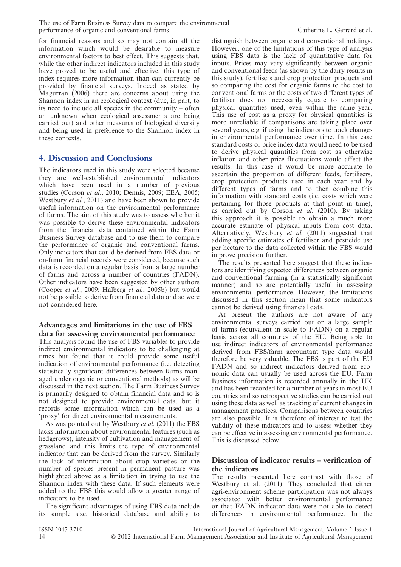for financial reasons and so may not contain all the information which would be desirable to measure environmental factors to best effect. This suggests that, while the other indirect indicators included in this study have proved to be useful and effective, this type of index requires more information than can currently be provided by financial surveys. Indeed as stated by Magurran (2006) there are concerns about using the Shannon index in an ecological context (due, in part, to its need to include all species in the community – often an unknown when ecological assessments are being carried out) and other measures of biological diversity and being used in preference to the Shannon index in these contexts.

### 4. Discussion and Conclusions

The indicators used in this study were selected because they are well-established environmental indicators which have been used in a number of previous studies (Corson et al., 2010; Dennis, 2009; EEA, 2005; Westbury *et al.*, 2011) and have been shown to provide useful information on the environmental performance of farms. The aim of this study was to assess whether it was possible to derive these environmental indicators from the financial data contained within the Farm Business Survey database and to use them to compare the performance of organic and conventional farms. Only indicators that could be derived from FBS data or on-farm financial records were considered, because such data is recorded on a regular basis from a large number of farms and across a number of countries (FADN). Other indicators have been suggested by other authors (Cooper et al., 2009; Halberg et al., 2005b) but would not be possible to derive from financial data and so were not considered here.

#### Advantages and limitations in the use of FBS data for assessing environmental performance

This analysis found the use of FBS variables to provide indirect environmental indicators to be challenging at times but found that it could provide some useful indication of environmental performance (i.e. detecting statistically significant differences between farms managed under organic or conventional methods) as will be discussed in the next section. The Farm Business Survey is primarily designed to obtain financial data and so is not designed to provide environmental data, but it records some information which can be used as a 'proxy' for direct environmental measurements.

As was pointed out by Westbury et al. (2011) the FBS lacks information about environmental features (such as hedgerows), intensity of cultivation and management of grassland and this limits the type of environmental indicator that can be derived from the survey. Similarly the lack of information about crop varieties or the number of species present in permanent pasture was highlighted above as a limitation in trying to use the Shannon index with these data. If such elements were added to the FBS this would allow a greater range of indicators to be used.

The significant advantages of using FBS data include its sample size, historical database and ability to distinguish between organic and conventional holdings. However, one of the limitations of this type of analysis using FBS data is the lack of quantitative data for inputs. Prices may vary significantly between organic and conventional feeds (as shown by the dairy results in this study), fertilisers and crop protection products and so comparing the cost for organic farms to the cost to conventional farms or the costs of two different types of fertiliser does not necessarily equate to comparing physical quantities used, even within the same year. This use of cost as a proxy for physical quantities is more unreliable if comparisons are taking place over several years, e.g. if using the indicators to track changes in environmental performance over time. In this case standard costs or price index data would need to be used to derive physical quantities from cost as otherwise inflation and other price fluctuations would affect the results. In this case it would be more accurate to ascertain the proportion of different feeds, fertilisers, crop protection products used in each year and by different types of farms and to then combine this information with standard costs (i.e. costs which were pertaining for those products at that point in time), as carried out by Corson et al. (2010). By taking this approach it is possible to obtain a much more accurate estimate of physical inputs from cost data. Alternatively, Westbury et al. (2011) suggested that adding specific estimates of fertiliser and pesticide use per hectare to the data collected within the FBS would improve precision further.

The results presented here suggest that these indicators are identifying expected differences between organic and conventional farming (in a statistically significant manner) and so are potentially useful in assessing environmental performance. However, the limitations discussed in this section mean that some indicators cannot be derived using financial data.

At present the authors are not aware of any environmental surveys carried out on a large sample of farms (equivalent in scale to FADN) on a regular basis across all countries of the EU. Being able to use indirect indicators of environmental performance derived from FBS/farm accountant type data would therefore be very valuable. The FBS is part of the EU FADN and so indirect indicators derived from economic data can usually be used across the EU. Farm Business information is recorded annually in the UK and has been recorded for a number of years in most EU countries and so retrospective studies can be carried out using these data as well as tracking of current changes in management practices. Comparisons between countries are also possible. It is therefore of interest to test the validity of these indicators and to assess whether they can be effective in assessing environmental performance. This is discussed below.

#### Discussion of indicator results – verification of the indicators

The results presented here contrast with those of Westbury et al. (2011). They concluded that either agri-environment scheme participation was not always associated with better environmental performance or that FADN indicator data were not able to detect differences in environmental performance. In the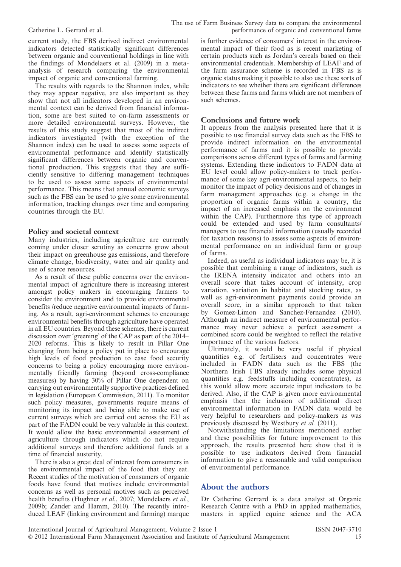current study, the FBS derived indirect environmental indicators detected statistically significant differences between organic and conventional holdings in line with the findings of Mondelaers et al. (2009) in a metaanalysis of research comparing the environmental impact of organic and conventional farming.

The results with regards to the Shannon index, while they may appear negative, are also important as they show that not all indicators developed in an environmental context can be derived from financial information, some are best suited to on-farm assessments or more detailed environmental surveys. However, the results of this study suggest that most of the indirect indicators investigated (with the exception of the Shannon index) can be used to assess some aspects of environmental performance and identify statistically significant differences between organic and conventional production. This suggests that they are sufficiently sensitive to differing management techniques to be used to assess some aspects of environmental performance. This means that annual economic surveys such as the FBS can be used to give some environmental information, tracking changes over time and comparing countries through the EU.

#### Policy and societal context

Many industries, including agriculture are currently coming under closer scrutiny as concerns grow about their impact on greenhouse gas emissions, and therefore climate change, biodiversity, water and air quality and use of scarce resources.

As a result of these public concerns over the environmental impact of agriculture there is increasing interest amongst policy makers in encouraging farmers to consider the environment and to provide environmental benefits /reduce negative environmental impacts of farming. As a result, agri-environment schemes to encourage environmental benefits through agriculture have operated in all EU countries. Beyond these schemes, there is current discussion over 'greening' of the CAP as part of the 2014– 2020 reforms. This is likely to result in Pillar One changing from being a policy put in place to encourage high levels of food production to ease food security concerns to being a policy encouraging more environmentally friendly farming (beyond cross-compliance measures) by having 30% of Pillar One dependent on carrying out environmentally supportive practices defined in legislation (European Commission, 2011). To monitor such policy measures, governments require means of monitoring its impact and being able to make use of current surveys which are carried out across the EU as part of the FADN could be very valuable in this context. It would allow the basic environmental assessment of agriculture through indicators which do not require additional surveys and therefore additional funds at a time of financial austerity.

There is also a great deal of interest from consumers in the environmental impact of the food that they eat. Recent studies of the motivation of consumers of organic foods have found that motives include environmental concerns as well as personal motives such as perceived health benefits (Hughner et al., 2007; Mondelaers et al., 2009b; Zander and Hamm, 2010). The recently introduced LEAF (linking environment and farming) marque is further evidence of consumers' interest in the environmental impact of their food as is recent marketing of certain products such as Jordan's cereals based on their environmental credentials. Membership of LEAF and of the farm assurance scheme is recorded in FBS as is organic status making it possible to also use these sorts of indicators to see whether there are significant differences between these farms and farms which are not members of such schemes.

#### Conclusions and future work

It appears from the analysis presented here that it is possible to use financial survey data such as the FBS to provide indirect information on the environmental performance of farms and it is possible to provide comparisons across different types of farms and farming systems. Extending these indicators to FADN data at EU level could allow policy-makers to track performance of some key agri-environmental aspects, to help monitor the impact of policy decisions and of changes in farm management approaches (e.g. a change in the proportion of organic farms within a country, the impact of an increased emphasis on the environment within the CAP). Furthermore this type of approach could be extended and used by farm consultants/ managers to use financial information (usually recorded for taxation reasons) to assess some aspects of environmental performance on an individual farm or group of farms.

Indeed, as useful as individual indicators may be, it is possible that combining a range of indicators, such as the IRENA intensity indicator and others into an overall score that takes account of intensity, crop variation, variation in habitat and stocking rates, as well as agri-environment payments could provide an overall score, in a similar approach to that taken by Gomez-Limon and Sanchez-Fernandez (2010). Although an indirect measure of environmental performance may never achieve a perfect assessment a combined score could be weighted to reflect the relative importance of the various factors.

Ultimately, it would be very useful if physical quantities e.g. of fertilisers and concentrates were included in FADN data such as the FBS (the Northern Irish FBS already includes some physical quantities e.g. feedstuffs including concentrates), as this would allow more accurate input indicators to be derived. Also, if the CAP is given more environmental emphasis then the inclusion of additional direct environmental information in FADN data would be very helpful to researchers and policy-makers as was previously discussed by Westbury et al. (2011).

Notwithstanding the limitations mentioned earlier and these possibilities for future improvement to this approach, the results presented here show that it is possible to use indicators derived from financial information to give a reasonable and valid comparison of environmental performance.

#### About the authors

Dr Catherine Gerrard is a data analyst at Organic Research Centre with a PhD in applied mathematics, masters in applied equine science and the ACA